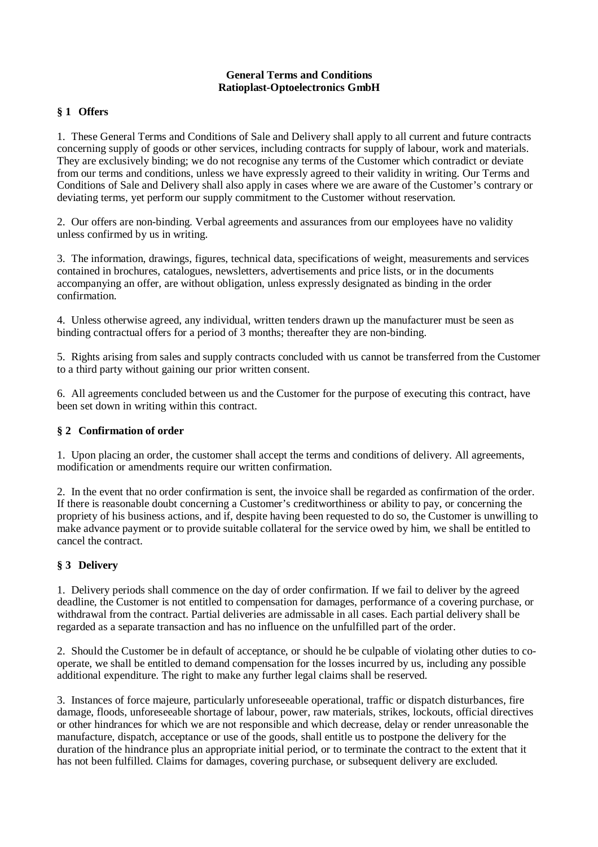#### **General Terms and Conditions Ratioplast-Optoelectronics GmbH**

# **§ 1 Offers**

1. These General Terms and Conditions of Sale and Delivery shall apply to all current and future contracts concerning supply of goods or other services, including contracts for supply of labour, work and materials. They are exclusively binding; we do not recognise any terms of the Customer which contradict or deviate from our terms and conditions, unless we have expressly agreed to their validity in writing. Our Terms and Conditions of Sale and Delivery shall also apply in cases where we are aware of the Customer's contrary or deviating terms, yet perform our supply commitment to the Customer without reservation.

2. Our offers are non-binding. Verbal agreements and assurances from our employees have no validity unless confirmed by us in writing.

3. The information, drawings, figures, technical data, specifications of weight, measurements and services contained in brochures, catalogues, newsletters, advertisements and price lists, or in the documents accompanying an offer, are without obligation, unless expressly designated as binding in the order confirmation.

4. Unless otherwise agreed, any individual, written tenders drawn up the manufacturer must be seen as binding contractual offers for a period of 3 months; thereafter they are non-binding.

5. Rights arising from sales and supply contracts concluded with us cannot be transferred from the Customer to a third party without gaining our prior written consent.

6. All agreements concluded between us and the Customer for the purpose of executing this contract, have been set down in writing within this contract.

### **§ 2 Confirmation of order**

1. Upon placing an order, the customer shall accept the terms and conditions of delivery. All agreements, modification or amendments require our written confirmation.

2. In the event that no order confirmation is sent, the invoice shall be regarded as confirmation of the order. If there is reasonable doubt concerning a Customer's creditworthiness or ability to pay, or concerning the propriety of his business actions, and if, despite having been requested to do so, the Customer is unwilling to make advance payment or to provide suitable collateral for the service owed by him, we shall be entitled to cancel the contract.

# **§ 3 Delivery**

1. Delivery periods shall commence on the day of order confirmation. If we fail to deliver by the agreed deadline, the Customer is not entitled to compensation for damages, performance of a covering purchase, or withdrawal from the contract. Partial deliveries are admissable in all cases. Each partial delivery shall be regarded as a separate transaction and has no influence on the unfulfilled part of the order.

2. Should the Customer be in default of acceptance, or should he be culpable of violating other duties to cooperate, we shall be entitled to demand compensation for the losses incurred by us, including any possible additional expenditure. The right to make any further legal claims shall be reserved.

3. Instances of force majeure, particularly unforeseeable operational, traffic or dispatch disturbances, fire damage, floods, unforeseeable shortage of labour, power, raw materials, strikes, lockouts, official directives or other hindrances for which we are not responsible and which decrease, delay or render unreasonable the manufacture, dispatch, acceptance or use of the goods, shall entitle us to postpone the delivery for the duration of the hindrance plus an appropriate initial period, or to terminate the contract to the extent that it has not been fulfilled. Claims for damages, covering purchase, or subsequent delivery are excluded.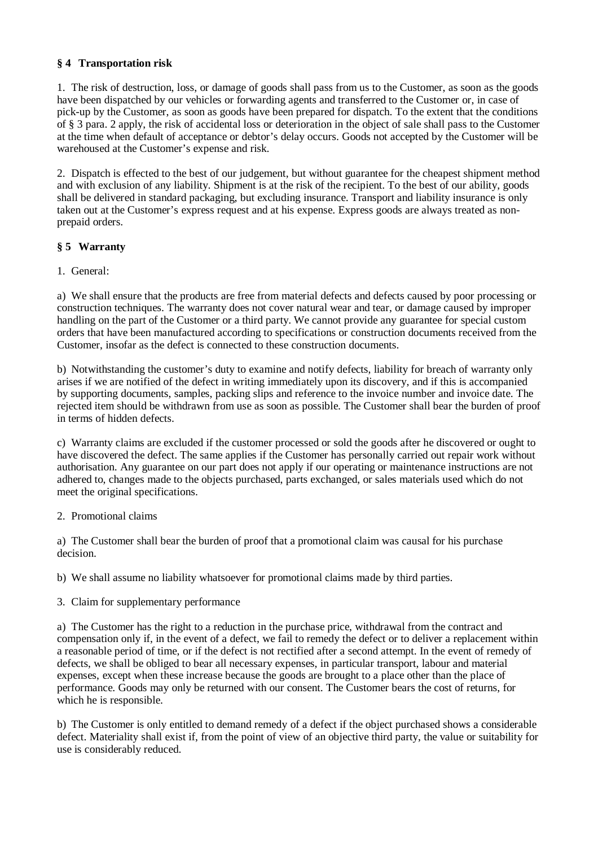## **§ 4 Transportation risk**

1. The risk of destruction, loss, or damage of goods shall pass from us to the Customer, as soon as the goods have been dispatched by our vehicles or forwarding agents and transferred to the Customer or, in case of pick-up by the Customer, as soon as goods have been prepared for dispatch. To the extent that the conditions of § 3 para. 2 apply, the risk of accidental loss or deterioration in the object of sale shall pass to the Customer at the time when default of acceptance or debtor's delay occurs. Goods not accepted by the Customer will be warehoused at the Customer's expense and risk.

2. Dispatch is effected to the best of our judgement, but without guarantee for the cheapest shipment method and with exclusion of any liability. Shipment is at the risk of the recipient. To the best of our ability, goods shall be delivered in standard packaging, but excluding insurance. Transport and liability insurance is only taken out at the Customer's express request and at his expense. Express goods are always treated as nonprepaid orders.

## **§ 5 Warranty**

1. General:

a) We shall ensure that the products are free from material defects and defects caused by poor processing or construction techniques. The warranty does not cover natural wear and tear, or damage caused by improper handling on the part of the Customer or a third party. We cannot provide any guarantee for special custom orders that have been manufactured according to specifications or construction documents received from the Customer, insofar as the defect is connected to these construction documents.

b) Notwithstanding the customer's duty to examine and notify defects, liability for breach of warranty only arises if we are notified of the defect in writing immediately upon its discovery, and if this is accompanied by supporting documents, samples, packing slips and reference to the invoice number and invoice date. The rejected item should be withdrawn from use as soon as possible. The Customer shall bear the burden of proof in terms of hidden defects.

c) Warranty claims are excluded if the customer processed or sold the goods after he discovered or ought to have discovered the defect. The same applies if the Customer has personally carried out repair work without authorisation. Any guarantee on our part does not apply if our operating or maintenance instructions are not adhered to, changes made to the objects purchased, parts exchanged, or sales materials used which do not meet the original specifications.

2. Promotional claims

a) The Customer shall bear the burden of proof that a promotional claim was causal for his purchase decision.

b) We shall assume no liability whatsoever for promotional claims made by third parties.

3. Claim for supplementary performance

a) The Customer has the right to a reduction in the purchase price, withdrawal from the contract and compensation only if, in the event of a defect, we fail to remedy the defect or to deliver a replacement within a reasonable period of time, or if the defect is not rectified after a second attempt. In the event of remedy of defects, we shall be obliged to bear all necessary expenses, in particular transport, labour and material expenses, except when these increase because the goods are brought to a place other than the place of performance. Goods may only be returned with our consent. The Customer bears the cost of returns, for which he is responsible.

b) The Customer is only entitled to demand remedy of a defect if the object purchased shows a considerable defect. Materiality shall exist if, from the point of view of an objective third party, the value or suitability for use is considerably reduced.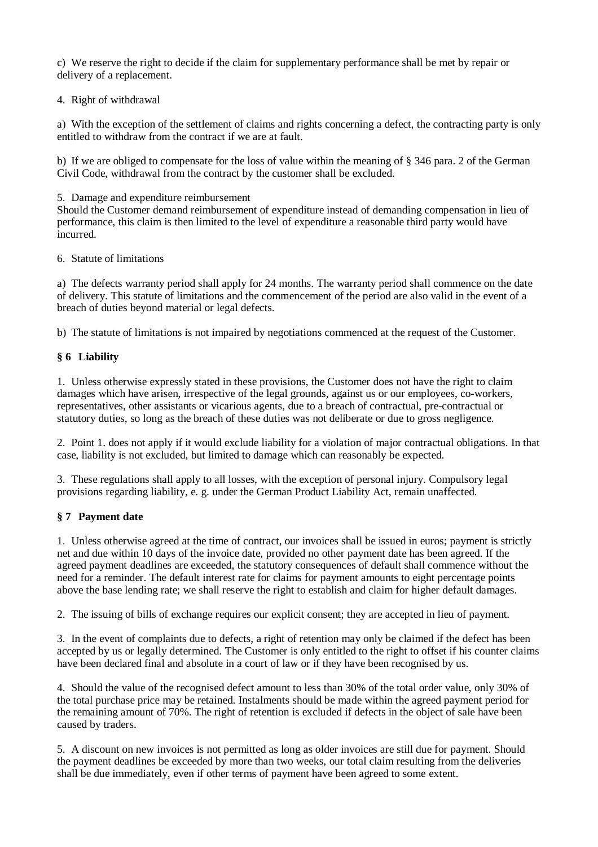c) We reserve the right to decide if the claim for supplementary performance shall be met by repair or delivery of a replacement.

### 4. Right of withdrawal

a) With the exception of the settlement of claims and rights concerning a defect, the contracting party is only entitled to withdraw from the contract if we are at fault.

b) If we are obliged to compensate for the loss of value within the meaning of § 346 para. 2 of the German Civil Code, withdrawal from the contract by the customer shall be excluded.

5. Damage and expenditure reimbursement

Should the Customer demand reimbursement of expenditure instead of demanding compensation in lieu of performance, this claim is then limited to the level of expenditure a reasonable third party would have incurred.

### 6. Statute of limitations

a) The defects warranty period shall apply for 24 months. The warranty period shall commence on the date of delivery. This statute of limitations and the commencement of the period are also valid in the event of a breach of duties beyond material or legal defects.

b) The statute of limitations is not impaired by negotiations commenced at the request of the Customer.

# **§ 6 Liability**

1. Unless otherwise expressly stated in these provisions, the Customer does not have the right to claim damages which have arisen, irrespective of the legal grounds, against us or our employees, co-workers, representatives, other assistants or vicarious agents, due to a breach of contractual, pre-contractual or statutory duties, so long as the breach of these duties was not deliberate or due to gross negligence.

2. Point 1. does not apply if it would exclude liability for a violation of major contractual obligations. In that case, liability is not excluded, but limited to damage which can reasonably be expected.

3. These regulations shall apply to all losses, with the exception of personal injury. Compulsory legal provisions regarding liability, e. g. under the German Product Liability Act, remain unaffected.

# **§ 7 Payment date**

1. Unless otherwise agreed at the time of contract, our invoices shall be issued in euros; payment is strictly net and due within 10 days of the invoice date, provided no other payment date has been agreed. If the agreed payment deadlines are exceeded, the statutory consequences of default shall commence without the need for a reminder. The default interest rate for claims for payment amounts to eight percentage points above the base lending rate; we shall reserve the right to establish and claim for higher default damages.

2. The issuing of bills of exchange requires our explicit consent; they are accepted in lieu of payment.

3. In the event of complaints due to defects, a right of retention may only be claimed if the defect has been accepted by us or legally determined. The Customer is only entitled to the right to offset if his counter claims have been declared final and absolute in a court of law or if they have been recognised by us.

4. Should the value of the recognised defect amount to less than 30% of the total order value, only 30% of the total purchase price may be retained. Instalments should be made within the agreed payment period for the remaining amount of 70%. The right of retention is excluded if defects in the object of sale have been caused by traders.

5. A discount on new invoices is not permitted as long as older invoices are still due for payment. Should the payment deadlines be exceeded by more than two weeks, our total claim resulting from the deliveries shall be due immediately, even if other terms of payment have been agreed to some extent.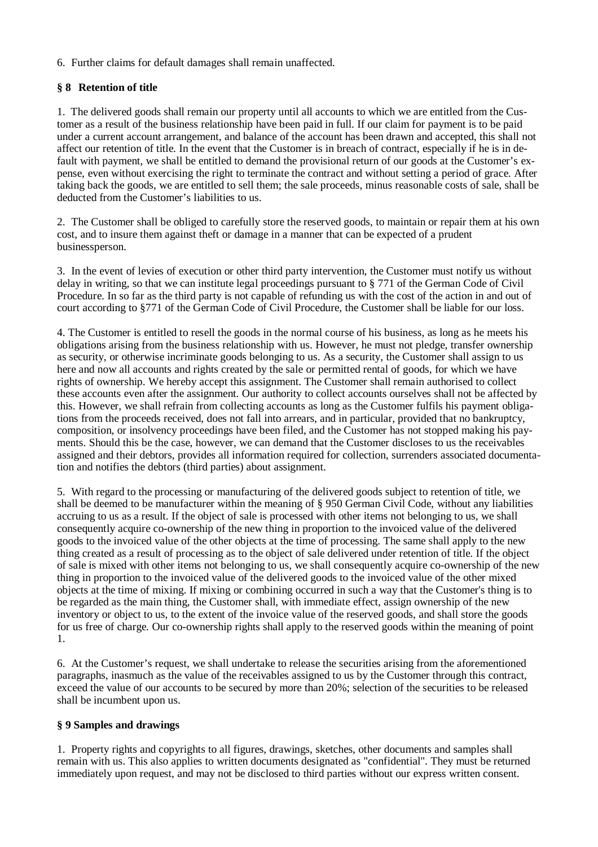### 6. Further claims for default damages shall remain unaffected.

# **§ 8 Retention of title**

1. The delivered goods shall remain our property until all accounts to which we are entitled from the Customer as a result of the business relationship have been paid in full. If our claim for payment is to be paid under a current account arrangement, and balance of the account has been drawn and accepted, this shall not affect our retention of title. In the event that the Customer is in breach of contract, especially if he is in default with payment, we shall be entitled to demand the provisional return of our goods at the Customer's expense, even without exercising the right to terminate the contract and without setting a period of grace. After taking back the goods, we are entitled to sell them; the sale proceeds, minus reasonable costs of sale, shall be deducted from the Customer's liabilities to us.

2. The Customer shall be obliged to carefully store the reserved goods, to maintain or repair them at his own cost, and to insure them against theft or damage in a manner that can be expected of a prudent businessperson.

3. In the event of levies of execution or other third party intervention, the Customer must notify us without delay in writing, so that we can institute legal proceedings pursuant to § 771 of the German Code of Civil Procedure. In so far as the third party is not capable of refunding us with the cost of the action in and out of court according to §771 of the German Code of Civil Procedure, the Customer shall be liable for our loss.

4. The Customer is entitled to resell the goods in the normal course of his business, as long as he meets his obligations arising from the business relationship with us. However, he must not pledge, transfer ownership as security, or otherwise incriminate goods belonging to us. As a security, the Customer shall assign to us here and now all accounts and rights created by the sale or permitted rental of goods, for which we have rights of ownership. We hereby accept this assignment. The Customer shall remain authorised to collect these accounts even after the assignment. Our authority to collect accounts ourselves shall not be affected by this. However, we shall refrain from collecting accounts as long as the Customer fulfils his payment obligations from the proceeds received, does not fall into arrears, and in particular, provided that no bankruptcy, composition, or insolvency proceedings have been filed, and the Customer has not stopped making his payments. Should this be the case, however, we can demand that the Customer discloses to us the receivables assigned and their debtors, provides all information required for collection, surrenders associated documentation and notifies the debtors (third parties) about assignment.

5. With regard to the processing or manufacturing of the delivered goods subject to retention of title, we shall be deemed to be manufacturer within the meaning of § 950 German Civil Code, without any liabilities accruing to us as a result. If the object of sale is processed with other items not belonging to us, we shall consequently acquire co-ownership of the new thing in proportion to the invoiced value of the delivered goods to the invoiced value of the other objects at the time of processing. The same shall apply to the new thing created as a result of processing as to the object of sale delivered under retention of title. If the object of sale is mixed with other items not belonging to us, we shall consequently acquire co-ownership of the new thing in proportion to the invoiced value of the delivered goods to the invoiced value of the other mixed objects at the time of mixing. If mixing or combining occurred in such a way that the Customer's thing is to be regarded as the main thing, the Customer shall, with immediate effect, assign ownership of the new inventory or object to us, to the extent of the invoice value of the reserved goods, and shall store the goods for us free of charge. Our co-ownership rights shall apply to the reserved goods within the meaning of point 1.

6. At the Customer's request, we shall undertake to release the securities arising from the aforementioned paragraphs, inasmuch as the value of the receivables assigned to us by the Customer through this contract, exceed the value of our accounts to be secured by more than 20%; selection of the securities to be released shall be incumbent upon us.

### **§ 9 Samples and drawings**

1. Property rights and copyrights to all figures, drawings, sketches, other documents and samples shall remain with us. This also applies to written documents designated as "confidential". They must be returned immediately upon request, and may not be disclosed to third parties without our express written consent.